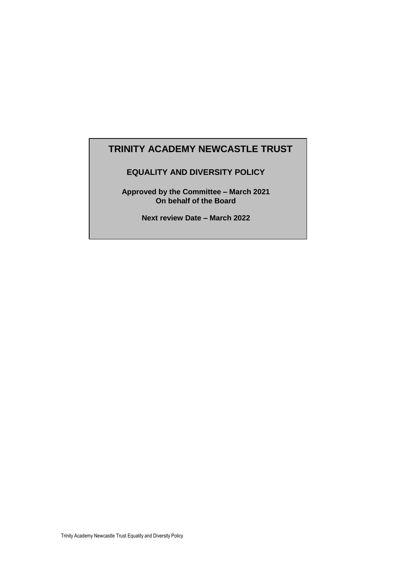# **TRINITY ACADEMY NEWCASTLE TRUST**

# **EQUALITY AND DIVERSITY POLICY**

**Approved by the Committee – March 2021 On behalf of the Board**

**Next review Date – March 2022**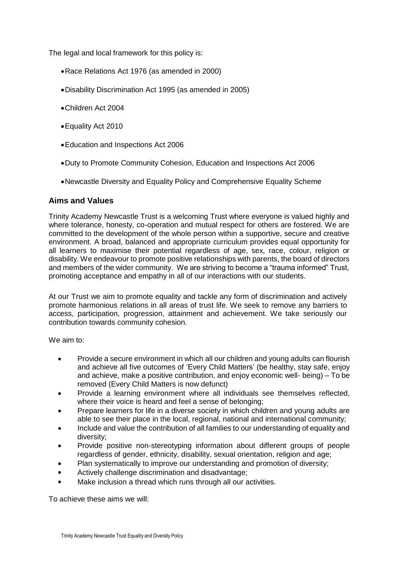The legal and local framework for this policy is:

- Race Relations Act 1976 (as amended in 2000)
- Disability Discrimination Act 1995 (as amended in 2005)
- Children Act 2004
- Equality Act 2010
- Education and Inspections Act 2006
- Duty to Promote Community Cohesion, Education and Inspections Act 2006
- Newcastle Diversity and Equality Policy and Comprehensive Equality Scheme

#### **Aims and Values**

Trinity Academy Newcastle Trust is a welcoming Trust where everyone is valued highly and where tolerance, honesty, co-operation and mutual respect for others are fostered. We are committed to the development of the whole person within a supportive, secure and creative environment. A broad, balanced and appropriate curriculum provides equal opportunity for all learners to maximise their potential regardless of age, sex, race, colour, religion or disability. We endeavour to promote positive relationships with parents, the board of directors and members of the wider community. We are striving to become a "trauma informed" Trust, promoting acceptance and empathy in all of our interactions with our students.

At our Trust we aim to promote equality and tackle any form of discrimination and actively promote harmonious relations in all areas of trust life. We seek to remove any barriers to access, participation, progression, attainment and achievement. We take seriously our contribution towards community cohesion.

We aim to:

- Provide a secure environment in which all our children and young adults can flourish and achieve all five outcomes of 'Every Child Matters' (be healthy, stay safe, enjoy and achieve, make a positive contribution, and enjoy economic well- being) – To be removed (Every Child Matters is now defunct)
- Provide a learning environment where all individuals see themselves reflected, where their voice is heard and feel a sense of belonging;
- Prepare learners for life in a diverse society in which children and young adults are able to see their place in the local, regional, national and international community;
- Include and value the contribution of all families to our understanding of equality and diversity;
- Provide positive non-stereotyping information about different groups of people regardless of gender, ethnicity, disability, sexual orientation, religion and age;
- Plan systematically to improve our understanding and promotion of diversity;
- Actively challenge discrimination and disadvantage;
- Make inclusion a thread which runs through all our activities.

To achieve these aims we will: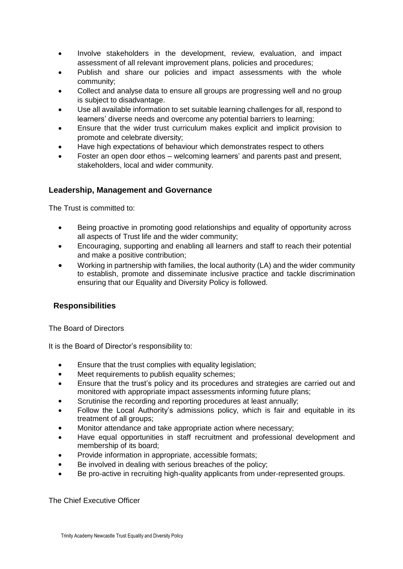- Involve stakeholders in the development, review, evaluation, and impact assessment of all relevant improvement plans, policies and procedures;
- Publish and share our policies and impact assessments with the whole community;
- Collect and analyse data to ensure all groups are progressing well and no group is subject to disadvantage.
- Use all available information to set suitable learning challenges for all, respond to learners' diverse needs and overcome any potential barriers to learning;
- Ensure that the wider trust curriculum makes explicit and implicit provision to promote and celebrate diversity;
- Have high expectations of behaviour which demonstrates respect to others
- Foster an open door ethos welcoming learners' and parents past and present, stakeholders, local and wider community.

# **Leadership, Management and Governance**

The Trust is committed to:

- Being proactive in promoting good relationships and equality of opportunity across all aspects of Trust life and the wider community;
- Encouraging, supporting and enabling all learners and staff to reach their potential and make a positive contribution;
- Working in partnership with families, the local authority (LA) and the wider community to establish, promote and disseminate inclusive practice and tackle discrimination ensuring that our Equality and Diversity Policy is followed.

# **Responsibilities**

The Board of Directors

It is the Board of Director's responsibility to:

- Ensure that the trust complies with equality legislation;
- Meet requirements to publish equality schemes;
- Ensure that the trust's policy and its procedures and strategies are carried out and monitored with appropriate impact assessments informing future plans;
- Scrutinise the recording and reporting procedures at least annually;
- Follow the Local Authority's admissions policy, which is fair and equitable in its treatment of all groups;
- Monitor attendance and take appropriate action where necessary;
- Have equal opportunities in staff recruitment and professional development and membership of its board;
- Provide information in appropriate, accessible formats;
- Be involved in dealing with serious breaches of the policy;
- Be pro-active in recruiting high-quality applicants from under-represented groups.

The Chief Executive Officer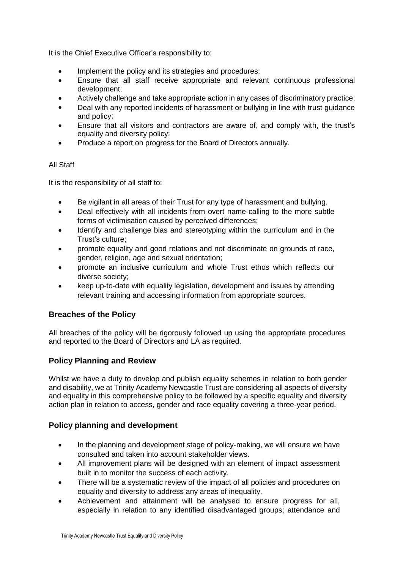It is the Chief Executive Officer's responsibility to:

- Implement the policy and its strategies and procedures;
- Ensure that all staff receive appropriate and relevant continuous professional development;
- Actively challenge and take appropriate action in any cases of discriminatory practice;
- Deal with any reported incidents of harassment or bullying in line with trust guidance and policy;
- Ensure that all visitors and contractors are aware of, and comply with, the trust's equality and diversity policy;
- Produce a report on progress for the Board of Directors annually.

#### All Staff

It is the responsibility of all staff to:

- Be vigilant in all areas of their Trust for any type of harassment and bullying.
- Deal effectively with all incidents from overt name-calling to the more subtle forms of victimisation caused by perceived differences;
- Identify and challenge bias and stereotyping within the curriculum and in the Trust's culture;
- promote equality and good relations and not discriminate on grounds of race, gender, religion, age and sexual orientation;
- promote an inclusive curriculum and whole Trust ethos which reflects our diverse society;
- keep up-to-date with equality legislation, development and issues by attending relevant training and accessing information from appropriate sources.

# **Breaches of the Policy**

All breaches of the policy will be rigorously followed up using the appropriate procedures and reported to the Board of Directors and LA as required.

# **Policy Planning and Review**

Whilst we have a duty to develop and publish equality schemes in relation to both gender and disability, we at Trinity Academy Newcastle Trust are considering all aspects of diversity and equality in this comprehensive policy to be followed by a specific equality and diversity action plan in relation to access, gender and race equality covering a three-year period.

# **Policy planning and development**

- In the planning and development stage of policy-making, we will ensure we have consulted and taken into account stakeholder views.
- All improvement plans will be designed with an element of impact assessment built in to monitor the success of each activity.
- There will be a systematic review of the impact of all policies and procedures on equality and diversity to address any areas of inequality.
- Achievement and attainment will be analysed to ensure progress for all, especially in relation to any identified disadvantaged groups; attendance and